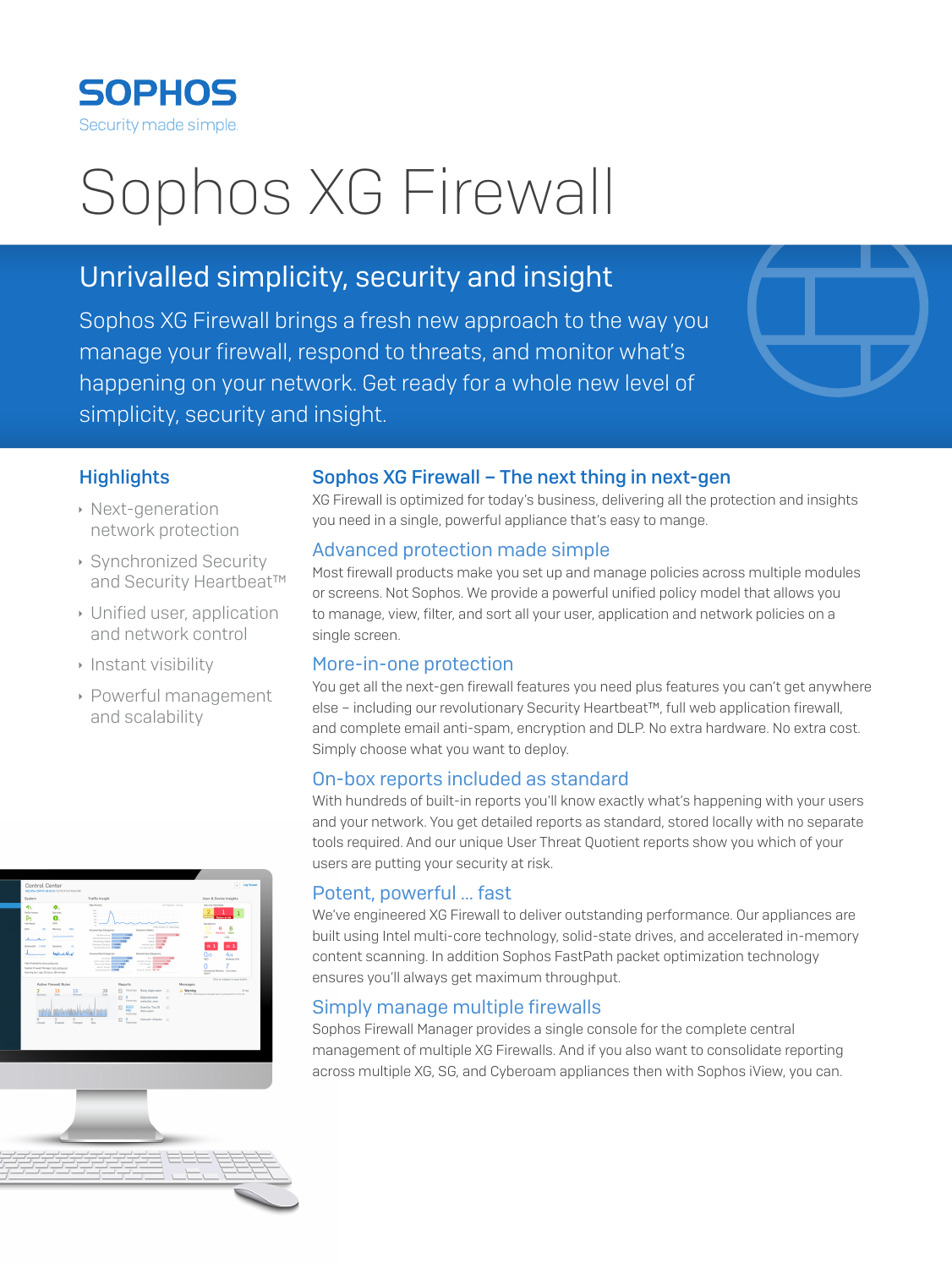

# Sophos XG Firewall

# Unrivalled simplicity, security and insight

Sophos XG Firewall brings a fresh new approach to the way you manage your firewall, respond to threats, and monitor what's happening on your network. Get ready for a whole new level of simplicity, security and insight.



#### **Highlights**

- **Next-generation** network protection
- **Synchronized Security** and Security Heartbeat™
- $\cdot$  Unified user, application and network control
- **Instant visibility**
- **Powerful management** and scalability

#### Sophos XG Firewall – The next thing in next-gen

XG Firewall is optimized for today's business, delivering all the protection and insights you need in a single, powerful appliance that's easy to mange.

#### Advanced protection made simple

Most firewall products make you set up and manage policies across multiple modules or screens. Not Sophos. We provide a powerful unified policy model that allows you to manage, view, filter, and sort all your user, application and network policies on a single screen.

#### More-in-one protection

You get all the next-gen firewall features you need plus features you can't get anywhere else – including our revolutionary Security Heartbeat™, full web application firewall, and complete email anti-spam, encryption and DLP. No extra hardware. No extra cost. Simply choose what you want to deploy.

#### On-box reports included as standard

With hundreds of built-in reports you'll know exactly what's happening with your users and your network. You get detailed reports as standard, stored locally with no separate tools required. And our unique User Threat Quotient reports show you which of your users are putting your security at risk.

#### Potent, powerful … fast

We've engineered XG Firewall to deliver outstanding performance. Our appliances are built using Intel multi-core technology, solid-state drives, and accelerated in-memory content scanning. In addition Sophos FastPath packet optimization technology ensures you'll always get maximum throughput.

### Simply manage multiple firewalls

Sophos Firewall Manager provides a single console for the complete central management of multiple XG Firewalls. And if you also want to consolidate reporting across multiple XG, SG, and Cyberoam appliances then with Sophos iView, you can.